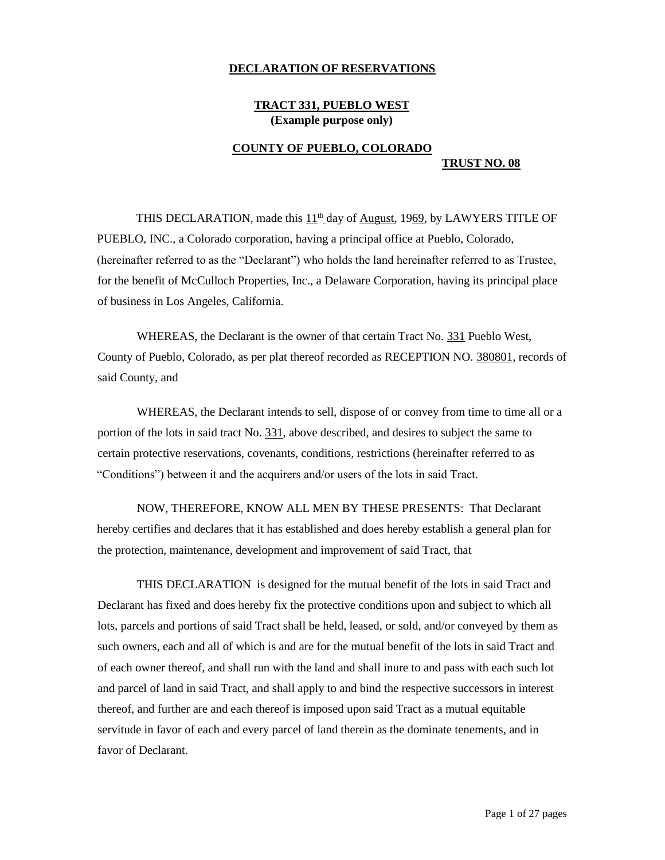### **DECLARATION OF RESERVATIONS**

## **TRACT 331, PUEBLO WEST (Example purpose only)**

## **COUNTY OF PUEBLO, COLORADO TRUST NO. 08**

THIS DECLARATION, made this  $11<sup>th</sup>$  day of <u>August</u>, 1969, by LAWYERS TITLE OF PUEBLO, INC., a Colorado corporation, having a principal office at Pueblo, Colorado, (hereinafter referred to as the "Declarant") who holds the land hereinafter referred to as Trustee, for the benefit of McCulloch Properties, Inc., a Delaware Corporation, having its principal place of business in Los Angeles, California.

WHEREAS, the Declarant is the owner of that certain Tract No. 331 Pueblo West, County of Pueblo, Colorado, as per plat thereof recorded as RECEPTION NO. 380801, records of said County, and

WHEREAS, the Declarant intends to sell, dispose of or convey from time to time all or a portion of the lots in said tract No. 331, above described, and desires to subject the same to certain protective reservations, covenants, conditions, restrictions (hereinafter referred to as "Conditions") between it and the acquirers and/or users of the lots in said Tract.

NOW, THEREFORE, KNOW ALL MEN BY THESE PRESENTS: That Declarant hereby certifies and declares that it has established and does hereby establish a general plan for the protection, maintenance, development and improvement of said Tract, that

THIS DECLARATION is designed for the mutual benefit of the lots in said Tract and Declarant has fixed and does hereby fix the protective conditions upon and subject to which all lots, parcels and portions of said Tract shall be held, leased, or sold, and/or conveyed by them as such owners, each and all of which is and are for the mutual benefit of the lots in said Tract and of each owner thereof, and shall run with the land and shall inure to and pass with each such lot and parcel of land in said Tract, and shall apply to and bind the respective successors in interest thereof, and further are and each thereof is imposed upon said Tract as a mutual equitable servitude in favor of each and every parcel of land therein as the dominate tenements, and in favor of Declarant.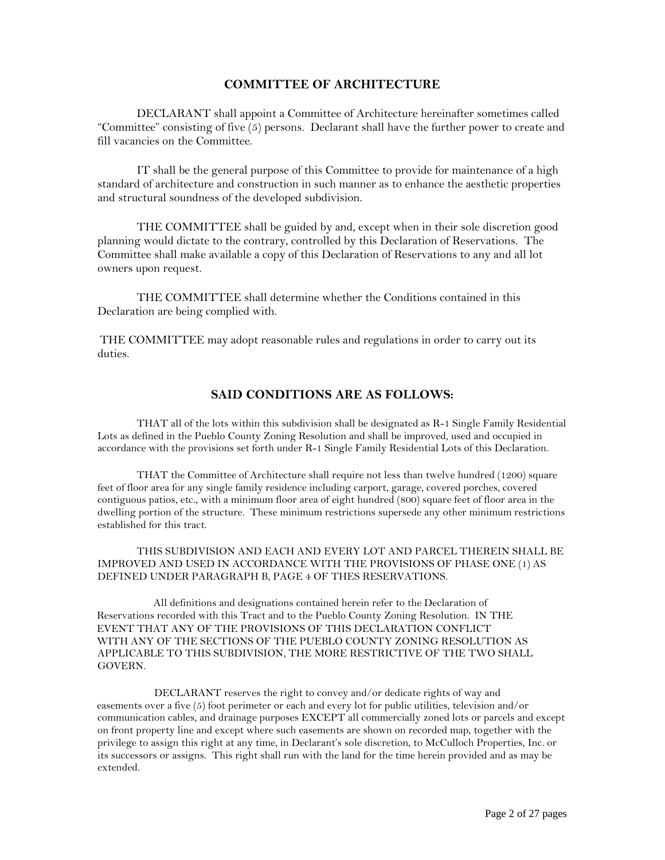### **COMMITTEE OF ARCHITECTURE**

DECLARANT shall appoint a Committee of Architecture hereinafter sometimes called "Committee" consisting of five (5) persons. Declarant shall have the further power to create and fill vacancies on the Committee.

IT shall be the general purpose of this Committee to provide for maintenance of a high standard of architecture and construction in such manner as to enhance the aesthetic properties and structural soundness of the developed subdivision.

THE COMMITTEE shall be guided by and, except when in their sole discretion good planning would dictate to the contrary, controlled by this Declaration of Reservations. The Committee shall make available a copy of this Declaration of Reservations to any and all lot owners upon request.

THE COMMITTEE shall determine whether the Conditions contained in this Declaration are being complied with.

THE COMMITTEE may adopt reasonable rules and regulations in order to carry out its duties.

# **SAID CONDITIONS ARE AS FOLLOWS:**

THAT all of the lots within this subdivision shall be designated as R-1 Single Family Residential Lots as defined in the Pueblo County Zoning Resolution and shall be improved, used and occupied in accordance with the provisions set forth under R-1 Single Family Residential Lots of this Declaration.

THAT the Committee of Architecture shall require not less than twelve hundred (1200) square feet of floor area for any single family residence including carport, garage, covered porches, covered contiguous patios, etc., with a minimum floor area of eight hundred (800) square feet of floor area in the dwelling portion of the structure. These minimum restrictions supersede any other minimum restrictions established for this tract.

THIS SUBDIVISION AND EACH AND EVERY LOT AND PARCEL THEREIN SHALL BE IMPROVED AND USED IN ACCORDANCE WITH THE PROVISIONS OF PHASE ONE (1) AS DEFINED UNDER PARAGRAPH B, PAGE 4 OF THES RESERVATIONS.

All definitions and designations contained herein refer to the Declaration of Reservations recorded with this Tract and to the Pueblo County Zoning Resolution. IN THE EVENT THAT ANY OF THE PROVISIONS OF THIS DECLARATION CONFLICT WITH ANY OF THE SECTIONS OF THE PUEBLO COUNTY ZONING RESOLUTION AS APPLICABLE TO THIS SUBDIVISION, THE MORE RESTRICTIVE OF THE TWO SHALL GOVERN.

DECLARANT reserves the right to convey and/or dedicate rights of way and easements over a five (5) foot perimeter or each and every lot for public utilities, television and/or communication cables, and drainage purposes EXCEPT all commercially zoned lots or parcels and except on front property line and except where such easements are shown on recorded map, together with the privilege to assign this right at any time, in Declarant's sole discretion, to McCulloch Properties, Inc. or its successors or assigns. This right shall run with the land for the time herein provided and as may be extended.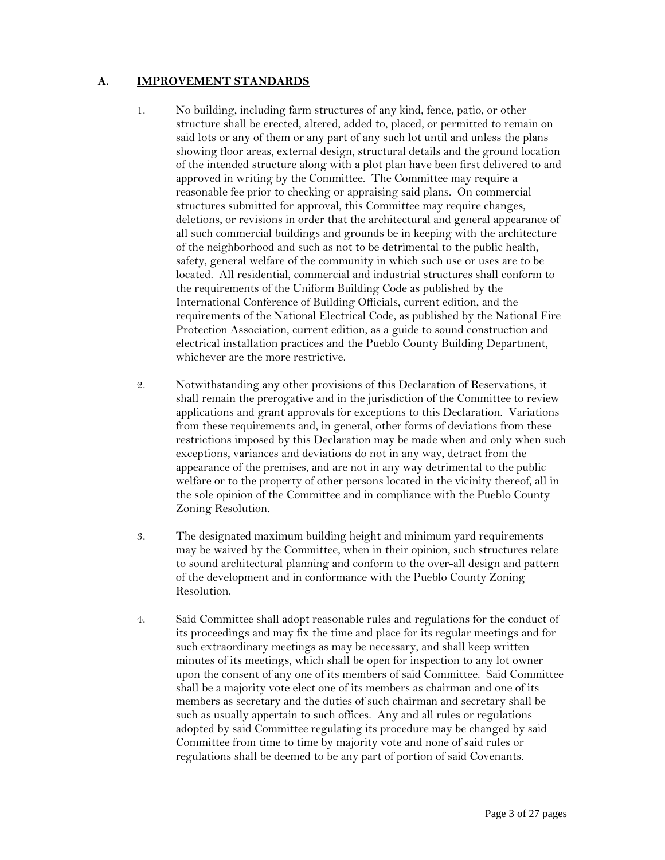## **A. IMPROVEMENT STANDARDS**

- 1. No building, including farm structures of any kind, fence, patio, or other structure shall be erected, altered, added to, placed, or permitted to remain on said lots or any of them or any part of any such lot until and unless the plans showing floor areas, external design, structural details and the ground location of the intended structure along with a plot plan have been first delivered to and approved in writing by the Committee. The Committee may require a reasonable fee prior to checking or appraising said plans. On commercial structures submitted for approval, this Committee may require changes, deletions, or revisions in order that the architectural and general appearance of all such commercial buildings and grounds be in keeping with the architecture of the neighborhood and such as not to be detrimental to the public health, safety, general welfare of the community in which such use or uses are to be located. All residential, commercial and industrial structures shall conform to the requirements of the Uniform Building Code as published by the International Conference of Building Officials, current edition, and the requirements of the National Electrical Code, as published by the National Fire Protection Association, current edition, as a guide to sound construction and electrical installation practices and the Pueblo County Building Department, whichever are the more restrictive.
- 2. Notwithstanding any other provisions of this Declaration of Reservations, it shall remain the prerogative and in the jurisdiction of the Committee to review applications and grant approvals for exceptions to this Declaration. Variations from these requirements and, in general, other forms of deviations from these restrictions imposed by this Declaration may be made when and only when such exceptions, variances and deviations do not in any way, detract from the appearance of the premises, and are not in any way detrimental to the public welfare or to the property of other persons located in the vicinity thereof, all in the sole opinion of the Committee and in compliance with the Pueblo County Zoning Resolution.
- 3. The designated maximum building height and minimum yard requirements may be waived by the Committee, when in their opinion, such structures relate to sound architectural planning and conform to the over-all design and pattern of the development and in conformance with the Pueblo County Zoning Resolution.
- 4. Said Committee shall adopt reasonable rules and regulations for the conduct of its proceedings and may fix the time and place for its regular meetings and for such extraordinary meetings as may be necessary, and shall keep written minutes of its meetings, which shall be open for inspection to any lot owner upon the consent of any one of its members of said Committee. Said Committee shall be a majority vote elect one of its members as chairman and one of its members as secretary and the duties of such chairman and secretary shall be such as usually appertain to such offices. Any and all rules or regulations adopted by said Committee regulating its procedure may be changed by said Committee from time to time by majority vote and none of said rules or regulations shall be deemed to be any part of portion of said Covenants.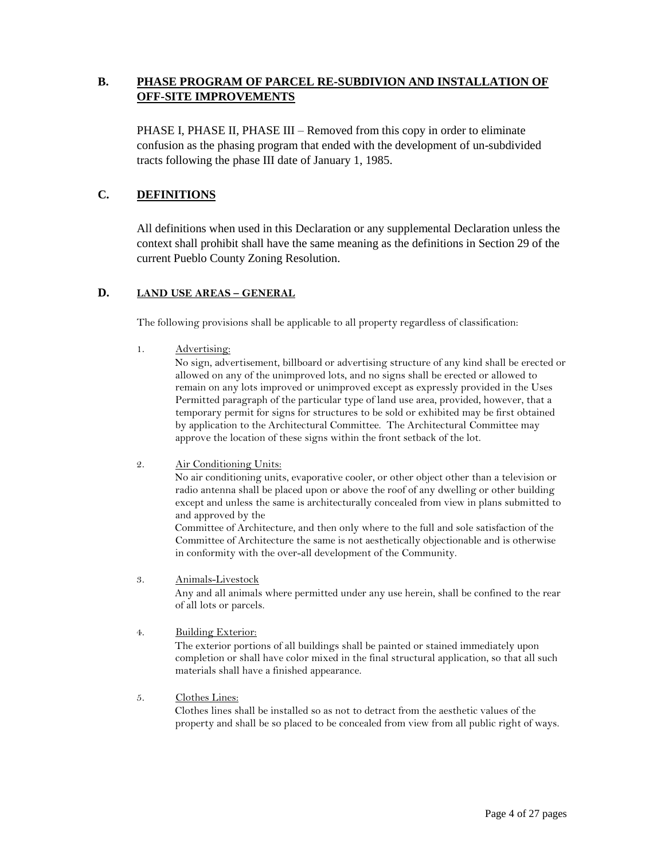# **B. PHASE PROGRAM OF PARCEL RE-SUBDIVION AND INSTALLATION OF OFF-SITE IMPROVEMENTS**

PHASE I, PHASE II, PHASE III – Removed from this copy in order to eliminate confusion as the phasing program that ended with the development of un-subdivided tracts following the phase III date of January 1, 1985.

# **C. DEFINITIONS**

All definitions when used in this Declaration or any supplemental Declaration unless the context shall prohibit shall have the same meaning as the definitions in Section 29 of the current Pueblo County Zoning Resolution.

## **D. LAND USE AREAS – GENERAL**

The following provisions shall be applicable to all property regardless of classification:

1. Advertising:

No sign, advertisement, billboard or advertising structure of any kind shall be erected or allowed on any of the unimproved lots, and no signs shall be erected or allowed to remain on any lots improved or unimproved except as expressly provided in the Uses Permitted paragraph of the particular type of land use area, provided, however, that a temporary permit for signs for structures to be sold or exhibited may be first obtained by application to the Architectural Committee. The Architectural Committee may approve the location of these signs within the front setback of the lot.

2. Air Conditioning Units:

No air conditioning units, evaporative cooler, or other object other than a television or radio antenna shall be placed upon or above the roof of any dwelling or other building except and unless the same is architecturally concealed from view in plans submitted to and approved by the

Committee of Architecture, and then only where to the full and sole satisfaction of the Committee of Architecture the same is not aesthetically objectionable and is otherwise in conformity with the over-all development of the Community.

- 3. Animals-Livestock Any and all animals where permitted under any use herein, shall be confined to the rear of all lots or parcels.
- 4. Building Exterior:

The exterior portions of all buildings shall be painted or stained immediately upon completion or shall have color mixed in the final structural application, so that all such materials shall have a finished appearance.

5. Clothes Lines:

Clothes lines shall be installed so as not to detract from the aesthetic values of the property and shall be so placed to be concealed from view from all public right of ways.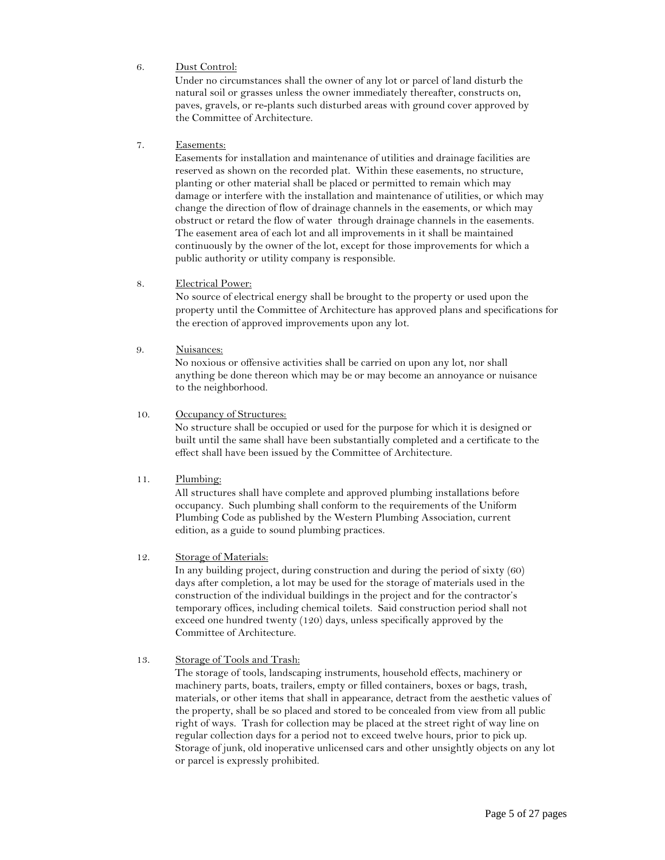#### 6. Dust Control:

Under no circumstances shall the owner of any lot or parcel of land disturb the natural soil or grasses unless the owner immediately thereafter, constructs on, paves, gravels, or re-plants such disturbed areas with ground cover approved by the Committee of Architecture.

#### 7. Easements:

Easements for installation and maintenance of utilities and drainage facilities are reserved as shown on the recorded plat. Within these easements, no structure, planting or other material shall be placed or permitted to remain which may damage or interfere with the installation and maintenance of utilities, or which may change the direction of flow of drainage channels in the easements, or which may obstruct or retard the flow of water through drainage channels in the easements. The easement area of each lot and all improvements in it shall be maintained continuously by the owner of the lot, except for those improvements for which a public authority or utility company is responsible.

#### 8. Electrical Power:

No source of electrical energy shall be brought to the property or used upon the property until the Committee of Architecture has approved plans and specifications for the erection of approved improvements upon any lot.

#### 9. Nuisances:

No noxious or offensive activities shall be carried on upon any lot, nor shall anything be done thereon which may be or may become an annoyance or nuisance to the neighborhood.

#### 10. Occupancy of Structures:

No structure shall be occupied or used for the purpose for which it is designed or built until the same shall have been substantially completed and a certificate to the effect shall have been issued by the Committee of Architecture.

#### 11. Plumbing:

All structures shall have complete and approved plumbing installations before occupancy. Such plumbing shall conform to the requirements of the Uniform Plumbing Code as published by the Western Plumbing Association, current edition, as a guide to sound plumbing practices.

#### 12. Storage of Materials:

In any building project, during construction and during the period of sixty (60) days after completion, a lot may be used for the storage of materials used in the construction of the individual buildings in the project and for the contractor's temporary offices, including chemical toilets. Said construction period shall not exceed one hundred twenty (120) days, unless specifically approved by the Committee of Architecture.

#### 13. Storage of Tools and Trash:

The storage of tools, landscaping instruments, household effects, machinery or machinery parts, boats, trailers, empty or filled containers, boxes or bags, trash, materials, or other items that shall in appearance, detract from the aesthetic values of the property, shall be so placed and stored to be concealed from view from all public right of ways. Trash for collection may be placed at the street right of way line on regular collection days for a period not to exceed twelve hours, prior to pick up. Storage of junk, old inoperative unlicensed cars and other unsightly objects on any lot or parcel is expressly prohibited.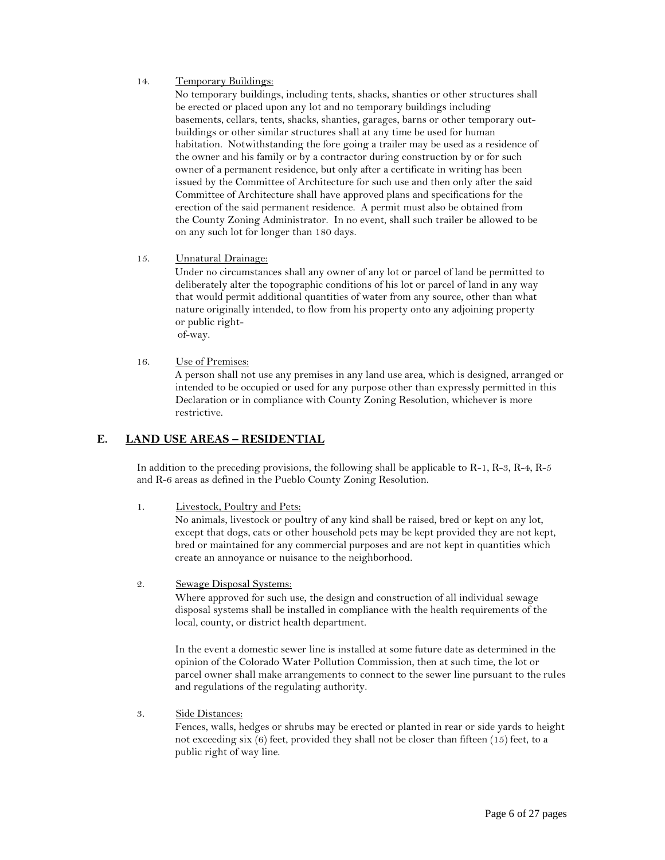#### 14. Temporary Buildings:

No temporary buildings, including tents, shacks, shanties or other structures shall be erected or placed upon any lot and no temporary buildings including basements, cellars, tents, shacks, shanties, garages, barns or other temporary outbuildings or other similar structures shall at any time be used for human habitation. Notwithstanding the fore going a trailer may be used as a residence of the owner and his family or by a contractor during construction by or for such owner of a permanent residence, but only after a certificate in writing has been issued by the Committee of Architecture for such use and then only after the said Committee of Architecture shall have approved plans and specifications for the erection of the said permanent residence. A permit must also be obtained from the County Zoning Administrator. In no event, shall such trailer be allowed to be on any such lot for longer than 180 days.

15. Unnatural Drainage:

Under no circumstances shall any owner of any lot or parcel of land be permitted to deliberately alter the topographic conditions of his lot or parcel of land in any way that would permit additional quantities of water from any source, other than what nature originally intended, to flow from his property onto any adjoining property or public rightof-way.

16. Use of Premises:

A person shall not use any premises in any land use area, which is designed, arranged or intended to be occupied or used for any purpose other than expressly permitted in this Declaration or in compliance with County Zoning Resolution, whichever is more restrictive.

## **E. LAND USE AREAS – RESIDENTIAL**

In addition to the preceding provisions, the following shall be applicable to R-1, R-3, R-4, R-5 and R-6 areas as defined in the Pueblo County Zoning Resolution.

1. Livestock, Poultry and Pets:

No animals, livestock or poultry of any kind shall be raised, bred or kept on any lot, except that dogs, cats or other household pets may be kept provided they are not kept, bred or maintained for any commercial purposes and are not kept in quantities which create an annoyance or nuisance to the neighborhood.

2. Sewage Disposal Systems:

Where approved for such use, the design and construction of all individual sewage disposal systems shall be installed in compliance with the health requirements of the local, county, or district health department.

In the event a domestic sewer line is installed at some future date as determined in the opinion of the Colorado Water Pollution Commission, then at such time, the lot or parcel owner shall make arrangements to connect to the sewer line pursuant to the rules and regulations of the regulating authority.

3. Side Distances:

Fences, walls, hedges or shrubs may be erected or planted in rear or side yards to height not exceeding six (6) feet, provided they shall not be closer than fifteen (15) feet, to a public right of way line.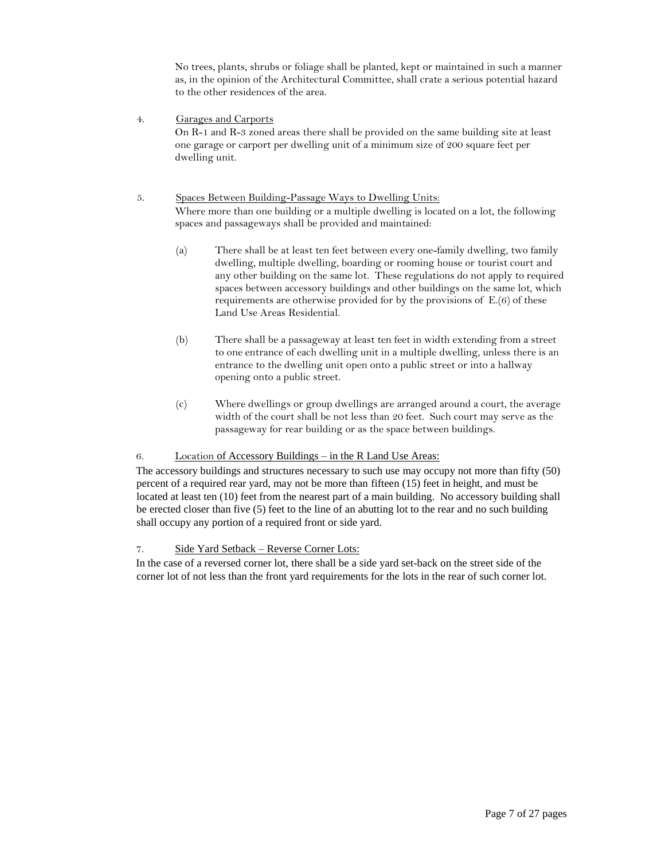No trees, plants, shrubs or foliage shall be planted, kept or maintained in such a manner as, in the opinion of the Architectural Committee, shall crate a serious potential hazard to the other residences of the area.

4. Garages and Carports On R-1 and R-3 zoned areas there shall be provided on the same building site at least one garage or carport per dwelling unit of a minimum size of 200 square feet per dwelling unit.

#### 5. Spaces Between Building-Passage Ways to Dwelling Units: Where more than one building or a multiple dwelling is located on a lot, the following spaces and passageways shall be provided and maintained:

- (a) There shall be at least ten feet between every one-family dwelling, two family dwelling, multiple dwelling, boarding or rooming house or tourist court and any other building on the same lot. These regulations do not apply to required spaces between accessory buildings and other buildings on the same lot, which requirements are otherwise provided for by the provisions of E.(6) of these Land Use Areas Residential.
- (b) There shall be a passageway at least ten feet in width extending from a street to one entrance of each dwelling unit in a multiple dwelling, unless there is an entrance to the dwelling unit open onto a public street or into a hallway opening onto a public street.
- (c) Where dwellings or group dwellings are arranged around a court, the average width of the court shall be not less than 20 feet. Such court may serve as the passageway for rear building or as the space between buildings.

#### 6. Location of Accessory Buildings – in the R Land Use Areas:

The accessory buildings and structures necessary to such use may occupy not more than fifty (50) percent of a required rear yard, may not be more than fifteen (15) feet in height, and must be located at least ten (10) feet from the nearest part of a main building. No accessory building shall be erected closer than five (5) feet to the line of an abutting lot to the rear and no such building shall occupy any portion of a required front or side yard.

#### 7. Side Yard Setback – Reverse Corner Lots:

In the case of a reversed corner lot, there shall be a side yard set-back on the street side of the corner lot of not less than the front yard requirements for the lots in the rear of such corner lot.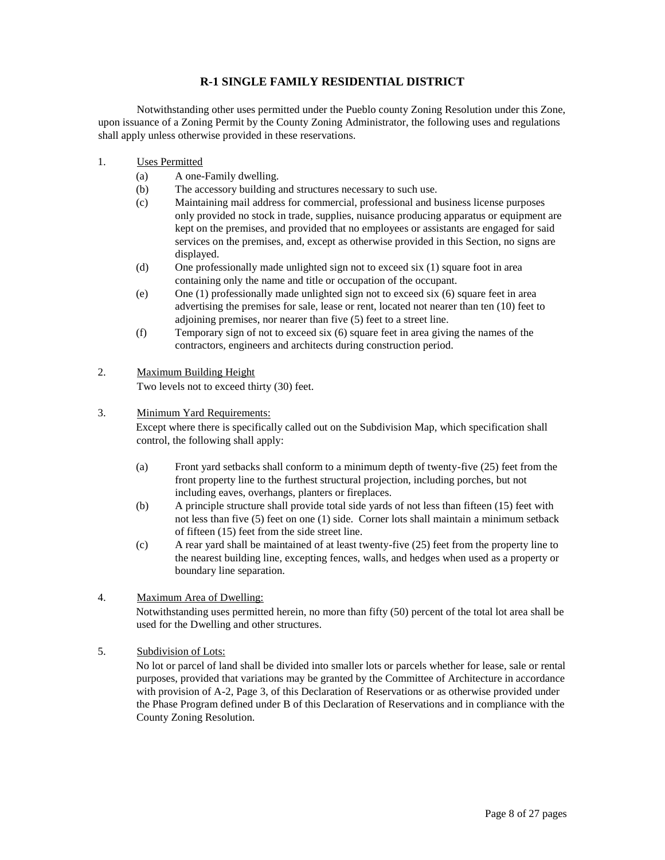## **R-1 SINGLE FAMILY RESIDENTIAL DISTRICT**

Notwithstanding other uses permitted under the Pueblo county Zoning Resolution under this Zone, upon issuance of a Zoning Permit by the County Zoning Administrator, the following uses and regulations shall apply unless otherwise provided in these reservations.

- 1. Uses Permitted
	- (a) A one-Family dwelling.
	- (b) The accessory building and structures necessary to such use.
	- (c) Maintaining mail address for commercial, professional and business license purposes only provided no stock in trade, supplies, nuisance producing apparatus or equipment are kept on the premises, and provided that no employees or assistants are engaged for said services on the premises, and, except as otherwise provided in this Section, no signs are displayed.
	- (d) One professionally made unlighted sign not to exceed six (1) square foot in area containing only the name and title or occupation of the occupant.
	- (e) One (1) professionally made unlighted sign not to exceed six (6) square feet in area advertising the premises for sale, lease or rent, located not nearer than ten (10) feet to adjoining premises, nor nearer than five (5) feet to a street line.
	- (f) Temporary sign of not to exceed six (6) square feet in area giving the names of the contractors, engineers and architects during construction period.

## 2. Maximum Building Height

Two levels not to exceed thirty (30) feet.

#### 3. Minimum Yard Requirements:

Except where there is specifically called out on the Subdivision Map, which specification shall control, the following shall apply:

- (a) Front yard setbacks shall conform to a minimum depth of twenty-five (25) feet from the front property line to the furthest structural projection, including porches, but not including eaves, overhangs, planters or fireplaces.
- (b) A principle structure shall provide total side yards of not less than fifteen (15) feet with not less than five (5) feet on one (1) side. Corner lots shall maintain a minimum setback of fifteen (15) feet from the side street line.
- (c) A rear yard shall be maintained of at least twenty-five (25) feet from the property line to the nearest building line, excepting fences, walls, and hedges when used as a property or boundary line separation.

### 4. Maximum Area of Dwelling:

Notwithstanding uses permitted herein, no more than fifty (50) percent of the total lot area shall be used for the Dwelling and other structures.

5. Subdivision of Lots: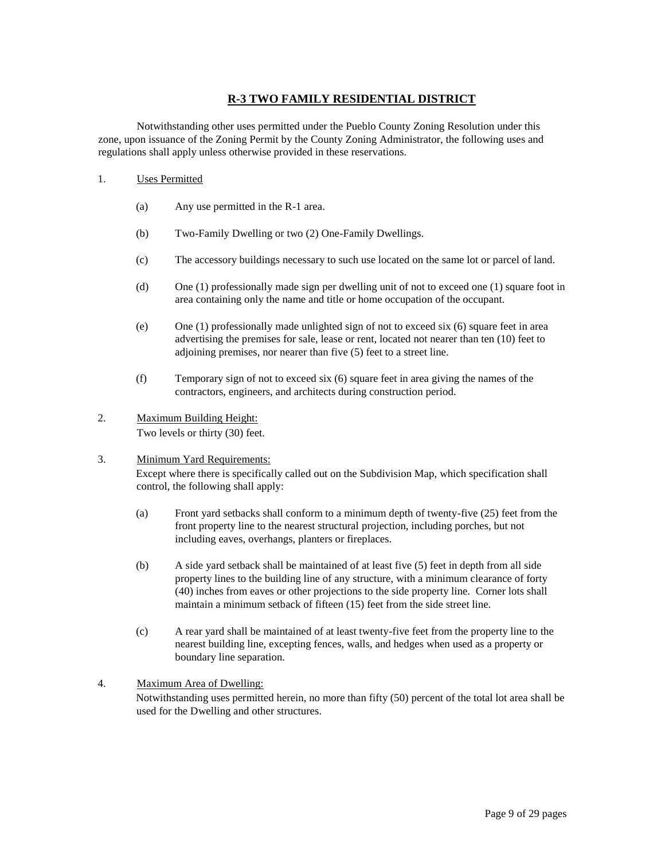# **R-3 TWO FAMILY RESIDENTIAL DISTRICT**

Notwithstanding other uses permitted under the Pueblo County Zoning Resolution under this zone, upon issuance of the Zoning Permit by the County Zoning Administrator, the following uses and regulations shall apply unless otherwise provided in these reservations.

- 1. Uses Permitted
	- (a) Any use permitted in the R-1 area.
	- (b) Two-Family Dwelling or two (2) One-Family Dwellings.
	- (c) The accessory buildings necessary to such use located on the same lot or parcel of land.
	- (d) One (1) professionally made sign per dwelling unit of not to exceed one (1) square foot in area containing only the name and title or home occupation of the occupant.
	- (e) One (1) professionally made unlighted sign of not to exceed six (6) square feet in area advertising the premises for sale, lease or rent, located not nearer than ten (10) feet to adjoining premises, nor nearer than five (5) feet to a street line.
	- (f) Temporary sign of not to exceed six (6) square feet in area giving the names of the contractors, engineers, and architects during construction period.
- 2. Maximum Building Height: Two levels or thirty (30) feet.

## 3. Minimum Yard Requirements: Except where there is specifically called out on the Subdivision Map, which specification shall control, the following shall apply:

- (a) Front yard setbacks shall conform to a minimum depth of twenty-five (25) feet from the front property line to the nearest structural projection, including porches, but not including eaves, overhangs, planters or fireplaces.
- (b) A side yard setback shall be maintained of at least five (5) feet in depth from all side property lines to the building line of any structure, with a minimum clearance of forty (40) inches from eaves or other projections to the side property line. Corner lots shall maintain a minimum setback of fifteen (15) feet from the side street line.
- (c) A rear yard shall be maintained of at least twenty-five feet from the property line to the nearest building line, excepting fences, walls, and hedges when used as a property or boundary line separation.

#### 4. Maximum Area of Dwelling:

Notwithstanding uses permitted herein, no more than fifty (50) percent of the total lot area shall be used for the Dwelling and other structures.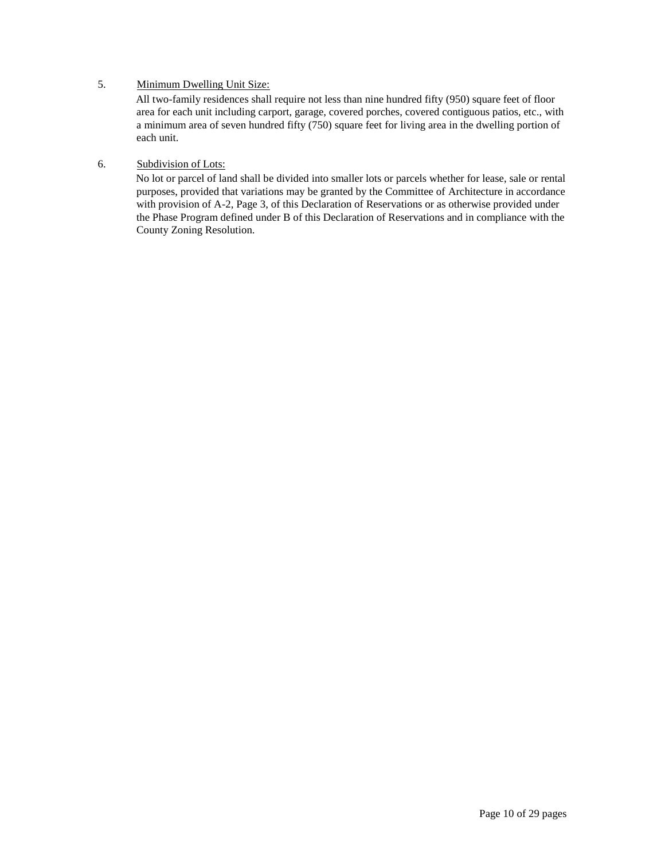## 5. Minimum Dwelling Unit Size:

All two-family residences shall require not less than nine hundred fifty (950) square feet of floor area for each unit including carport, garage, covered porches, covered contiguous patios, etc., with a minimum area of seven hundred fifty (750) square feet for living area in the dwelling portion of each unit.

### 6. Subdivision of Lots: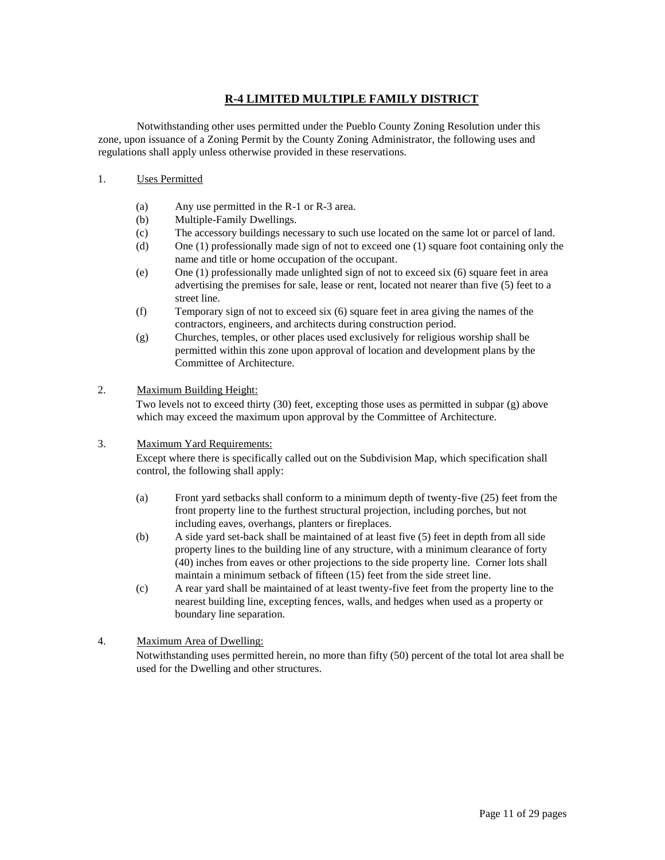# **R-4 LIMITED MULTIPLE FAMILY DISTRICT**

Notwithstanding other uses permitted under the Pueblo County Zoning Resolution under this zone, upon issuance of a Zoning Permit by the County Zoning Administrator, the following uses and regulations shall apply unless otherwise provided in these reservations.

#### 1. Uses Permitted

- (a) Any use permitted in the R-1 or R-3 area.
- (b) Multiple-Family Dwellings.
- (c) The accessory buildings necessary to such use located on the same lot or parcel of land.
- (d) One (1) professionally made sign of not to exceed one (1) square foot containing only the name and title or home occupation of the occupant.
- (e) One (1) professionally made unlighted sign of not to exceed six (6) square feet in area advertising the premises for sale, lease or rent, located not nearer than five (5) feet to a street line.
- (f) Temporary sign of not to exceed six (6) square feet in area giving the names of the contractors, engineers, and architects during construction period.
- (g) Churches, temples, or other places used exclusively for religious worship shall be permitted within this zone upon approval of location and development plans by the Committee of Architecture.

#### 2. Maximum Building Height:

Two levels not to exceed thirty (30) feet, excepting those uses as permitted in subpar (g) above which may exceed the maximum upon approval by the Committee of Architecture.

#### 3. Maximum Yard Requirements:

Except where there is specifically called out on the Subdivision Map, which specification shall control, the following shall apply:

- (a) Front yard setbacks shall conform to a minimum depth of twenty-five (25) feet from the front property line to the furthest structural projection, including porches, but not including eaves, overhangs, planters or fireplaces.
- (b) A side yard set-back shall be maintained of at least five (5) feet in depth from all side property lines to the building line of any structure, with a minimum clearance of forty (40) inches from eaves or other projections to the side property line. Corner lots shall maintain a minimum setback of fifteen (15) feet from the side street line.
- (c) A rear yard shall be maintained of at least twenty-five feet from the property line to the nearest building line, excepting fences, walls, and hedges when used as a property or boundary line separation.

## 4. Maximum Area of Dwelling:

Notwithstanding uses permitted herein, no more than fifty (50) percent of the total lot area shall be used for the Dwelling and other structures.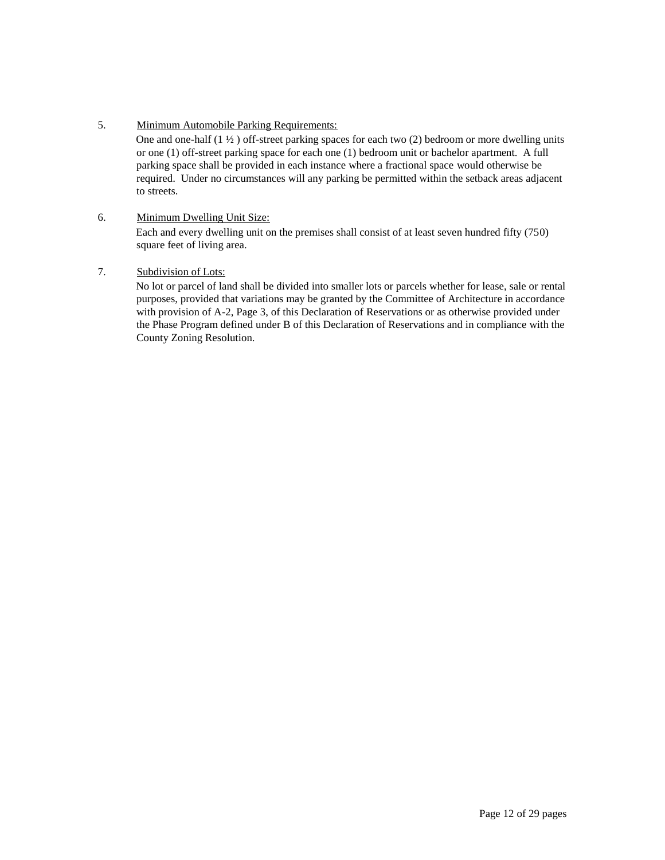5. Minimum Automobile Parking Requirements:

One and one-half  $(1 \frac{1}{2})$  off-street parking spaces for each two  $(2)$  bedroom or more dwelling units or one (1) off-street parking space for each one (1) bedroom unit or bachelor apartment. A full parking space shall be provided in each instance where a fractional space would otherwise be required. Under no circumstances will any parking be permitted within the setback areas adjacent to streets.

### 6. Minimum Dwelling Unit Size:

Each and every dwelling unit on the premises shall consist of at least seven hundred fifty (750) square feet of living area.

7. Subdivision of Lots: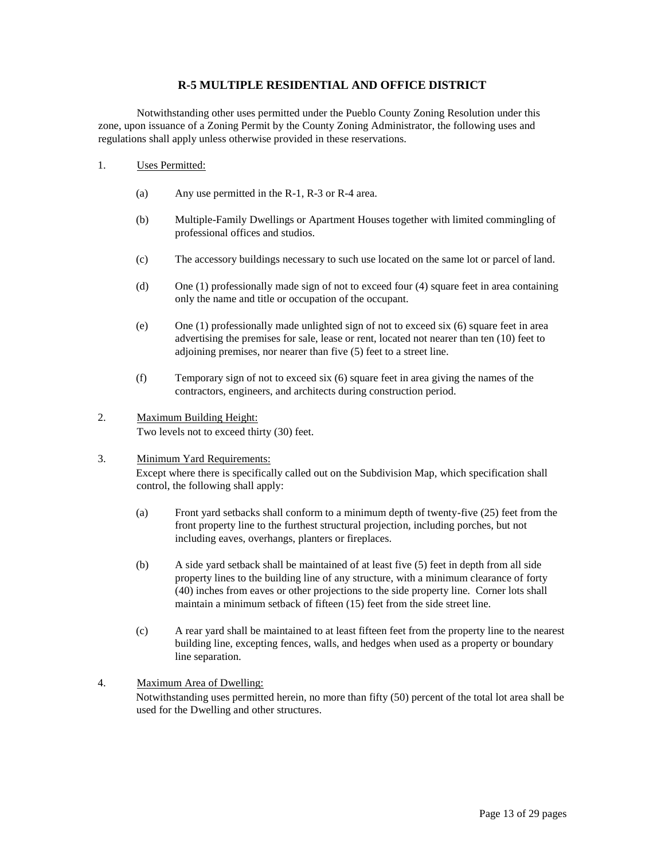### **R-5 MULTIPLE RESIDENTIAL AND OFFICE DISTRICT**

Notwithstanding other uses permitted under the Pueblo County Zoning Resolution under this zone, upon issuance of a Zoning Permit by the County Zoning Administrator, the following uses and regulations shall apply unless otherwise provided in these reservations.

#### 1. Uses Permitted:

- (a) Any use permitted in the R-1, R-3 or R-4 area.
- (b) Multiple-Family Dwellings or Apartment Houses together with limited commingling of professional offices and studios.
- (c) The accessory buildings necessary to such use located on the same lot or parcel of land.
- (d) One (1) professionally made sign of not to exceed four (4) square feet in area containing only the name and title or occupation of the occupant.
- (e) One (1) professionally made unlighted sign of not to exceed six (6) square feet in area advertising the premises for sale, lease or rent, located not nearer than ten (10) feet to adjoining premises, nor nearer than five (5) feet to a street line.
- (f) Temporary sign of not to exceed six (6) square feet in area giving the names of the contractors, engineers, and architects during construction period.

# 2. Maximum Building Height:

Two levels not to exceed thirty (30) feet.

### 3. Minimum Yard Requirements:

Except where there is specifically called out on the Subdivision Map, which specification shall control, the following shall apply:

- (a) Front yard setbacks shall conform to a minimum depth of twenty-five (25) feet from the front property line to the furthest structural projection, including porches, but not including eaves, overhangs, planters or fireplaces.
- (b) A side yard setback shall be maintained of at least five (5) feet in depth from all side property lines to the building line of any structure, with a minimum clearance of forty (40) inches from eaves or other projections to the side property line. Corner lots shall maintain a minimum setback of fifteen (15) feet from the side street line.
- (c) A rear yard shall be maintained to at least fifteen feet from the property line to the nearest building line, excepting fences, walls, and hedges when used as a property or boundary line separation.

#### 4. Maximum Area of Dwelling:

Notwithstanding uses permitted herein, no more than fifty (50) percent of the total lot area shall be used for the Dwelling and other structures.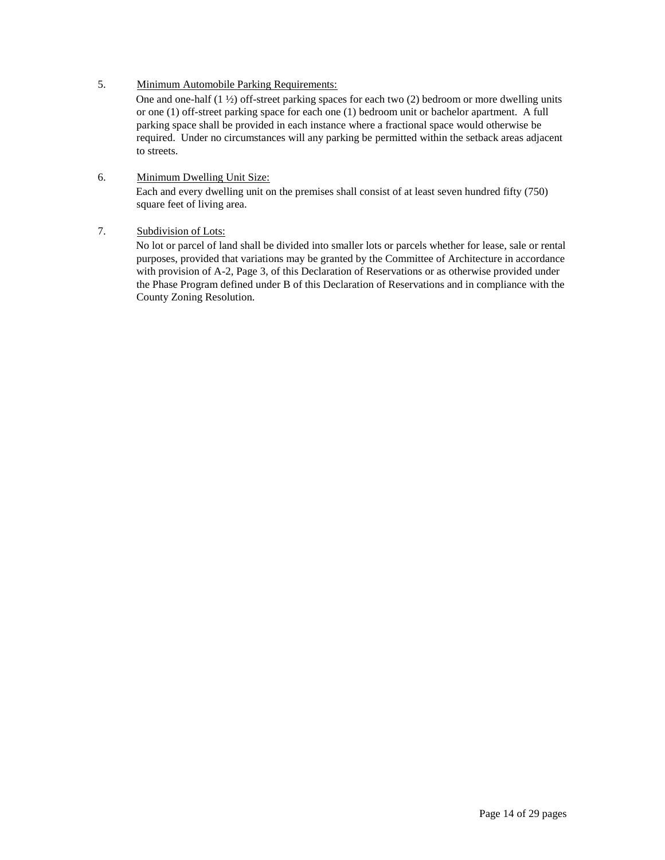## 5. Minimum Automobile Parking Requirements:

One and one-half (1 ½) off-street parking spaces for each two (2) bedroom or more dwelling units or one (1) off-street parking space for each one (1) bedroom unit or bachelor apartment. A full parking space shall be provided in each instance where a fractional space would otherwise be required. Under no circumstances will any parking be permitted within the setback areas adjacent to streets.

#### 6. Minimum Dwelling Unit Size:

Each and every dwelling unit on the premises shall consist of at least seven hundred fifty (750) square feet of living area.

### 7. Subdivision of Lots: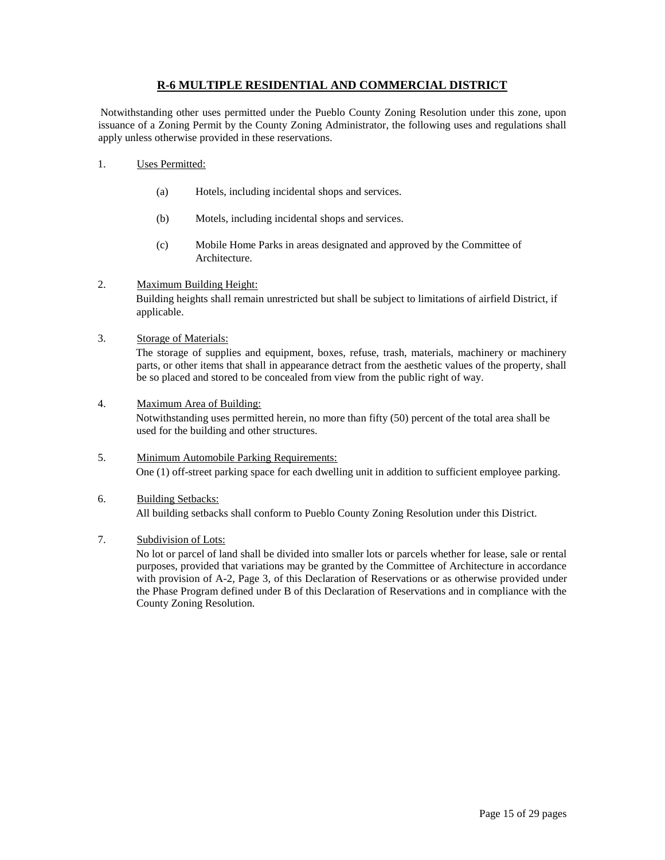## **R-6 MULTIPLE RESIDENTIAL AND COMMERCIAL DISTRICT**

Notwithstanding other uses permitted under the Pueblo County Zoning Resolution under this zone, upon issuance of a Zoning Permit by the County Zoning Administrator, the following uses and regulations shall apply unless otherwise provided in these reservations.

- 1. Uses Permitted:
	- (a) Hotels, including incidental shops and services.
	- (b) Motels, including incidental shops and services.
	- (c) Mobile Home Parks in areas designated and approved by the Committee of Architecture.
- 2. Maximum Building Height:

Building heights shall remain unrestricted but shall be subject to limitations of airfield District, if applicable.

3. Storage of Materials:

The storage of supplies and equipment, boxes, refuse, trash, materials, machinery or machinery parts, or other items that shall in appearance detract from the aesthetic values of the property, shall be so placed and stored to be concealed from view from the public right of way.

4. Maximum Area of Building:

Notwithstanding uses permitted herein, no more than fifty (50) percent of the total area shall be used for the building and other structures.

- 5. Minimum Automobile Parking Requirements: One (1) off-street parking space for each dwelling unit in addition to sufficient employee parking.
- 6. Building Setbacks: All building setbacks shall conform to Pueblo County Zoning Resolution under this District.
- 7. Subdivision of Lots: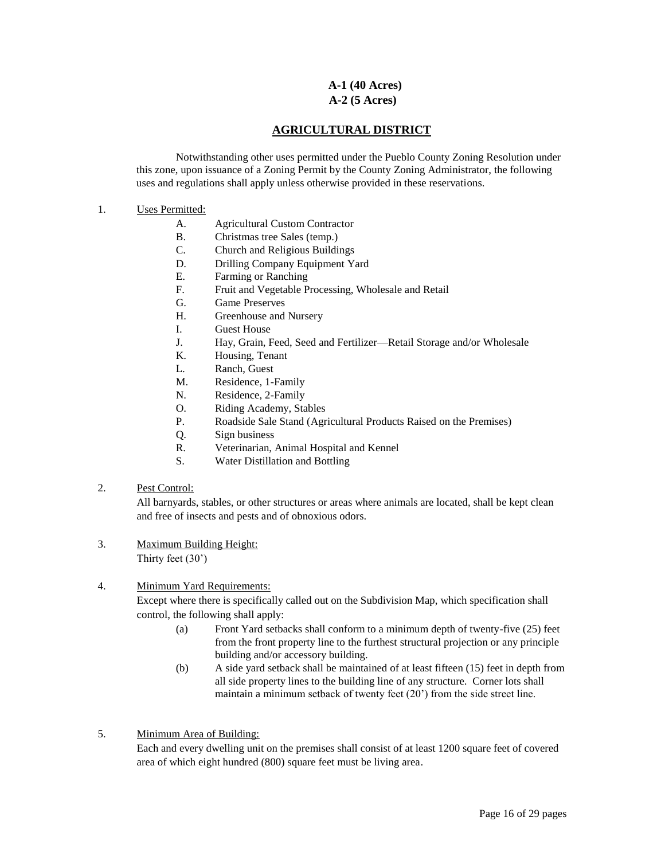### **A-1 (40 Acres) A-2 (5 Acres)**

## **AGRICULTURAL DISTRICT**

Notwithstanding other uses permitted under the Pueblo County Zoning Resolution under this zone, upon issuance of a Zoning Permit by the County Zoning Administrator, the following uses and regulations shall apply unless otherwise provided in these reservations.

#### 1. Uses Permitted:

- A. Agricultural Custom Contractor
- B. Christmas tree Sales (temp.)
- C. Church and Religious Buildings
- D. Drilling Company Equipment Yard
- E. Farming or Ranching
- F. Fruit and Vegetable Processing, Wholesale and Retail
- G. Game Preserves
- H. Greenhouse and Nursery
- I. Guest House
- J. Hay, Grain, Feed, Seed and Fertilizer—Retail Storage and/or Wholesale
- K. Housing, Tenant
- L. Ranch, Guest
- M. Residence, 1-Family
- N. Residence, 2-Family
- O. Riding Academy, Stables
- P. Roadside Sale Stand (Agricultural Products Raised on the Premises)
- Q. Sign business
- R. Veterinarian, Animal Hospital and Kennel
- S. Water Distillation and Bottling

#### 2. Pest Control:

All barnyards, stables, or other structures or areas where animals are located, shall be kept clean and free of insects and pests and of obnoxious odors.

3. Maximum Building Height: Thirty feet (30')

#### 4. Minimum Yard Requirements:

Except where there is specifically called out on the Subdivision Map, which specification shall control, the following shall apply:

- (a) Front Yard setbacks shall conform to a minimum depth of twenty-five (25) feet from the front property line to the furthest structural projection or any principle building and/or accessory building.
- (b) A side yard setback shall be maintained of at least fifteen (15) feet in depth from all side property lines to the building line of any structure. Corner lots shall maintain a minimum setback of twenty feet (20') from the side street line.
- 5. Minimum Area of Building:

Each and every dwelling unit on the premises shall consist of at least 1200 square feet of covered area of which eight hundred (800) square feet must be living area.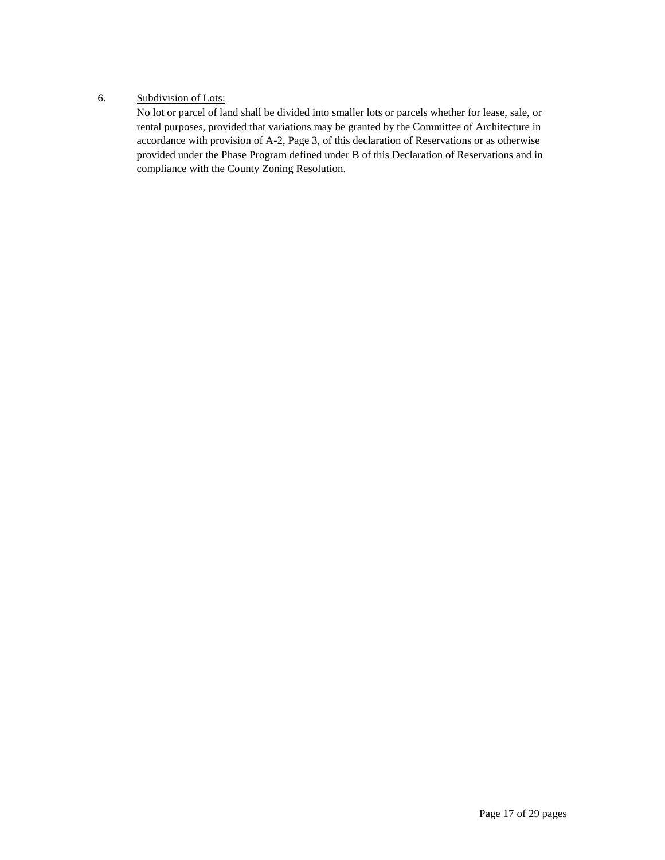### 6. Subdivision of Lots: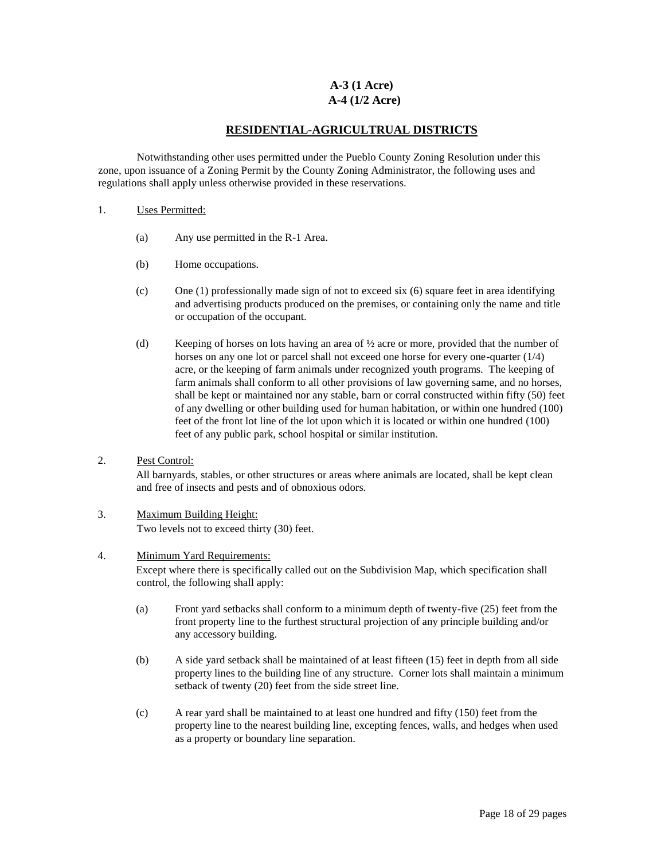### **A-3 (1 Acre) A-4 (1/2 Acre)**

### **RESIDENTIAL-AGRICULTRUAL DISTRICTS**

Notwithstanding other uses permitted under the Pueblo County Zoning Resolution under this zone, upon issuance of a Zoning Permit by the County Zoning Administrator, the following uses and regulations shall apply unless otherwise provided in these reservations.

#### 1. Uses Permitted:

- (a) Any use permitted in the R-1 Area.
- (b) Home occupations.
- (c) One (1) professionally made sign of not to exceed six (6) square feet in area identifying and advertising products produced on the premises, or containing only the name and title or occupation of the occupant.
- (d) Keeping of horses on lots having an area of  $\frac{1}{2}$  acre or more, provided that the number of horses on any one lot or parcel shall not exceed one horse for every one-quarter (1/4) acre, or the keeping of farm animals under recognized youth programs. The keeping of farm animals shall conform to all other provisions of law governing same, and no horses, shall be kept or maintained nor any stable, barn or corral constructed within fifty (50) feet of any dwelling or other building used for human habitation, or within one hundred (100) feet of the front lot line of the lot upon which it is located or within one hundred (100) feet of any public park, school hospital or similar institution.

#### 2. Pest Control:

All barnyards, stables, or other structures or areas where animals are located, shall be kept clean and free of insects and pests and of obnoxious odors.

#### 3. Maximum Building Height: Two levels not to exceed thirty (30) feet.

#### 4. Minimum Yard Requirements:

Except where there is specifically called out on the Subdivision Map, which specification shall control, the following shall apply:

- (a) Front yard setbacks shall conform to a minimum depth of twenty-five (25) feet from the front property line to the furthest structural projection of any principle building and/or any accessory building.
- (b) A side yard setback shall be maintained of at least fifteen (15) feet in depth from all side property lines to the building line of any structure. Corner lots shall maintain a minimum setback of twenty (20) feet from the side street line.
- (c) A rear yard shall be maintained to at least one hundred and fifty (150) feet from the property line to the nearest building line, excepting fences, walls, and hedges when used as a property or boundary line separation.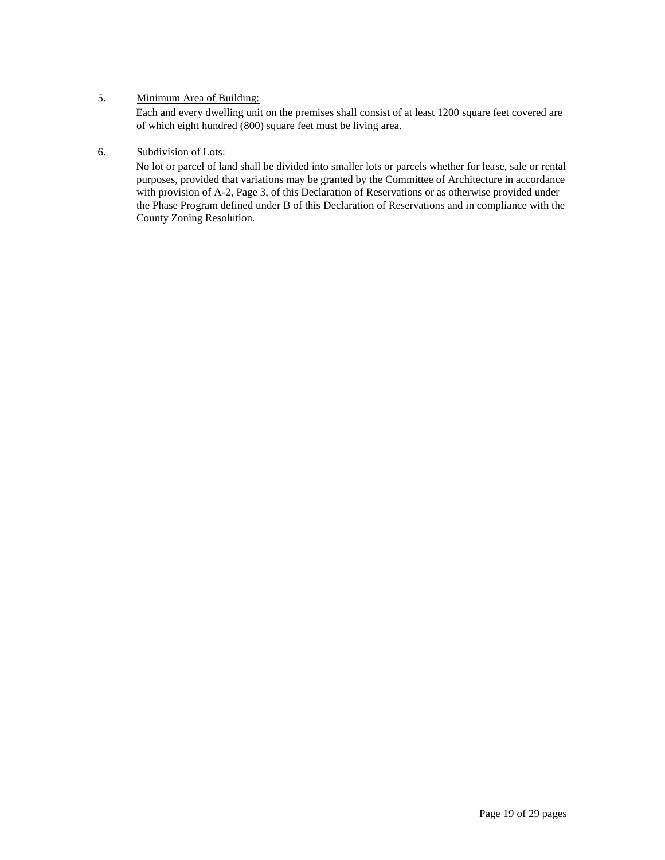### 5. Minimum Area of Building:

Each and every dwelling unit on the premises shall consist of at least 1200 square feet covered are of which eight hundred (800) square feet must be living area.

### 6. Subdivision of Lots: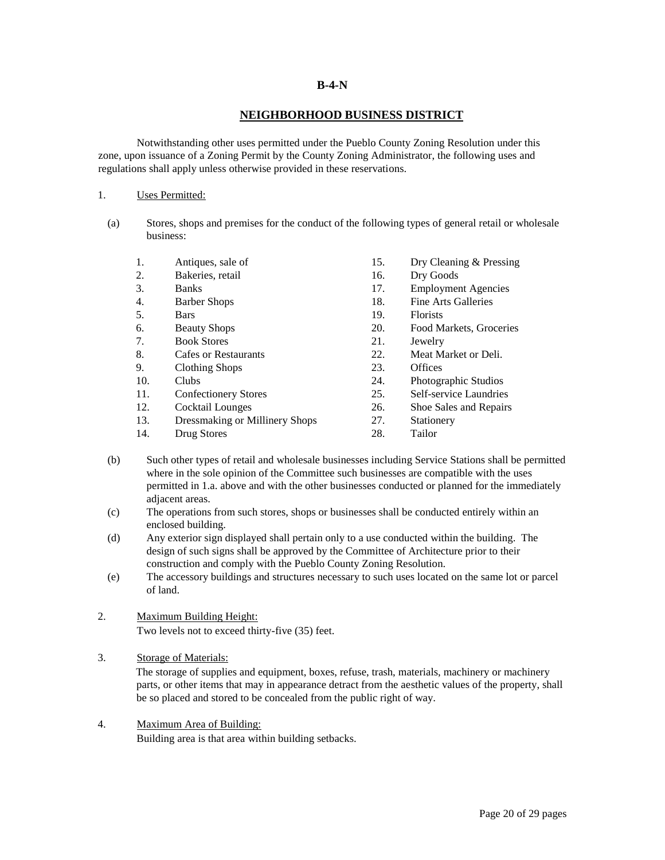#### **B-4-N**

#### **NEIGHBORHOOD BUSINESS DISTRICT**

Notwithstanding other uses permitted under the Pueblo County Zoning Resolution under this zone, upon issuance of a Zoning Permit by the County Zoning Administrator, the following uses and regulations shall apply unless otherwise provided in these reservations.

#### 1. Uses Permitted:

(a) Stores, shops and premises for the conduct of the following types of general retail or wholesale business:

| 1.  | Antiques, sale of              | 15. | Dry Cleaning & Pressing    |
|-----|--------------------------------|-----|----------------------------|
| 2.  | Bakeries, retail               | 16. | Dry Goods                  |
| 3.  | <b>Banks</b>                   | 17. | <b>Employment Agencies</b> |
| 4.  | <b>Barber Shops</b>            | 18. | Fine Arts Galleries        |
| 5.  | <b>Bars</b>                    | 19. | <b>Florists</b>            |
| 6.  | <b>Beauty Shops</b>            | 20. | Food Markets, Groceries    |
| 7.  | <b>Book Stores</b>             | 21. | Jewelry                    |
| 8.  | <b>Cafes or Restaurants</b>    | 22. | Meat Market or Deli.       |
| 9.  | Clothing Shops                 | 23. | <b>Offices</b>             |
| 10. | <b>Clubs</b>                   | 24. | Photographic Studios       |
| 11. | <b>Confectionery Stores</b>    | 25. | Self-service Laundries     |
| 12. | Cocktail Lounges               | 26. | Shoe Sales and Repairs     |
| 13. | Dressmaking or Millinery Shops | 27. | Stationery                 |
| 14. | Drug Stores                    | 28. | Tailor                     |

- (b) Such other types of retail and wholesale businesses including Service Stations shall be permitted where in the sole opinion of the Committee such businesses are compatible with the uses permitted in 1.a. above and with the other businesses conducted or planned for the immediately adjacent areas.
- (c) The operations from such stores, shops or businesses shall be conducted entirely within an enclosed building.
- (d) Any exterior sign displayed shall pertain only to a use conducted within the building. The design of such signs shall be approved by the Committee of Architecture prior to their construction and comply with the Pueblo County Zoning Resolution.
- (e) The accessory buildings and structures necessary to such uses located on the same lot or parcel of land.

#### 2. Maximum Building Height: Two levels not to exceed thirty-five (35) feet.

3. Storage of Materials:

The storage of supplies and equipment, boxes, refuse, trash, materials, machinery or machinery parts, or other items that may in appearance detract from the aesthetic values of the property, shall be so placed and stored to be concealed from the public right of way.

4. Maximum Area of Building:

Building area is that area within building setbacks.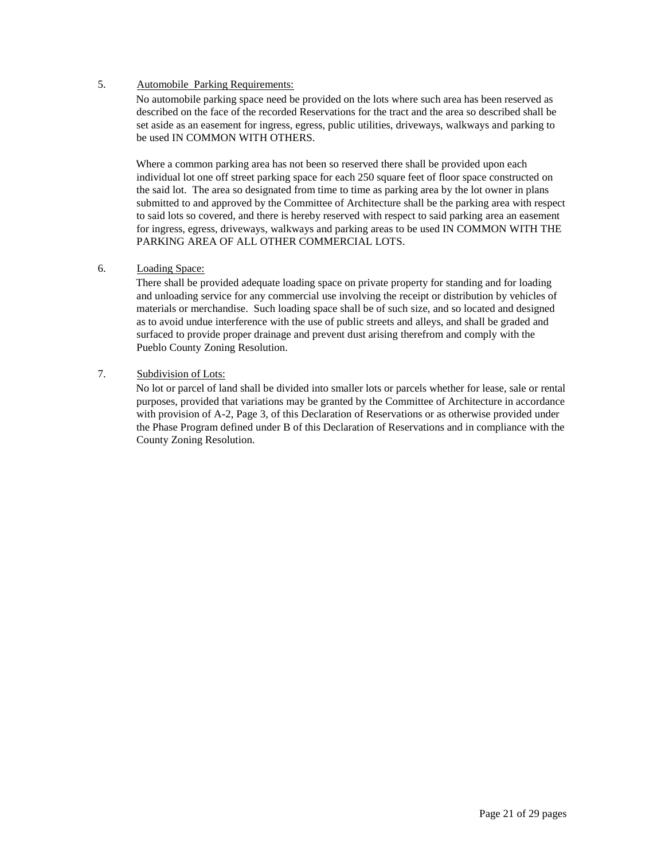#### 5. Automobile Parking Requirements:

No automobile parking space need be provided on the lots where such area has been reserved as described on the face of the recorded Reservations for the tract and the area so described shall be set aside as an easement for ingress, egress, public utilities, driveways, walkways and parking to be used IN COMMON WITH OTHERS.

Where a common parking area has not been so reserved there shall be provided upon each individual lot one off street parking space for each 250 square feet of floor space constructed on the said lot. The area so designated from time to time as parking area by the lot owner in plans submitted to and approved by the Committee of Architecture shall be the parking area with respect to said lots so covered, and there is hereby reserved with respect to said parking area an easement for ingress, egress, driveways, walkways and parking areas to be used IN COMMON WITH THE PARKING AREA OF ALL OTHER COMMERCIAL LOTS.

## 6. Loading Space:

There shall be provided adequate loading space on private property for standing and for loading and unloading service for any commercial use involving the receipt or distribution by vehicles of materials or merchandise. Such loading space shall be of such size, and so located and designed as to avoid undue interference with the use of public streets and alleys, and shall be graded and surfaced to provide proper drainage and prevent dust arising therefrom and comply with the Pueblo County Zoning Resolution.

### 7. Subdivision of Lots: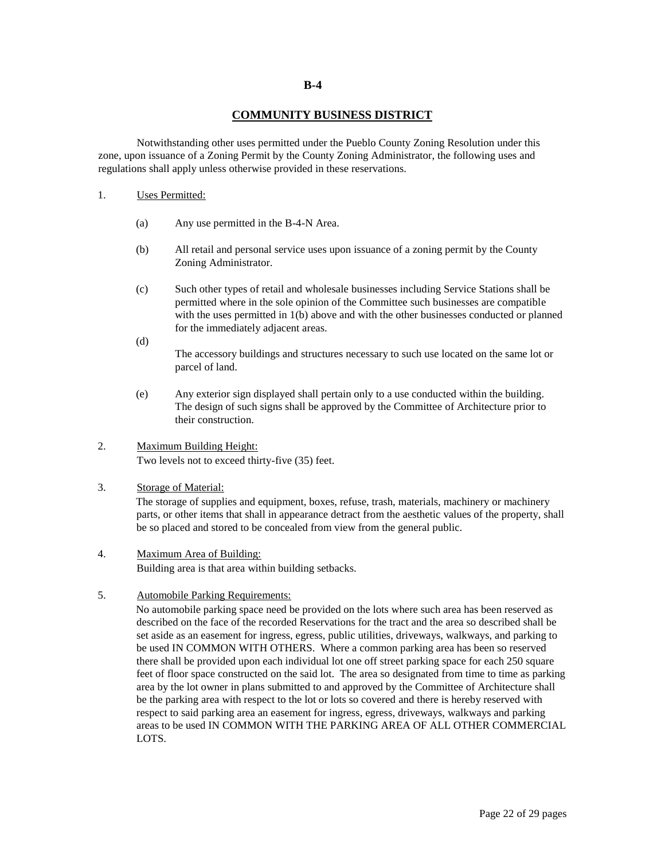#### **COMMUNITY BUSINESS DISTRICT**

Notwithstanding other uses permitted under the Pueblo County Zoning Resolution under this zone, upon issuance of a Zoning Permit by the County Zoning Administrator, the following uses and regulations shall apply unless otherwise provided in these reservations.

#### 1. Uses Permitted:

- (a) Any use permitted in the B-4-N Area.
- (b) All retail and personal service uses upon issuance of a zoning permit by the County Zoning Administrator.
- (c) Such other types of retail and wholesale businesses including Service Stations shall be permitted where in the sole opinion of the Committee such businesses are compatible with the uses permitted in  $1(b)$  above and with the other businesses conducted or planned for the immediately adjacent areas.
- (d)

The accessory buildings and structures necessary to such use located on the same lot or parcel of land.

(e) Any exterior sign displayed shall pertain only to a use conducted within the building. The design of such signs shall be approved by the Committee of Architecture prior to their construction.

### 2. Maximum Building Height: Two levels not to exceed thirty-five (35) feet.

#### 3. Storage of Material:

The storage of supplies and equipment, boxes, refuse, trash, materials, machinery or machinery parts, or other items that shall in appearance detract from the aesthetic values of the property, shall be so placed and stored to be concealed from view from the general public.

#### 4. Maximum Area of Building:

Building area is that area within building setbacks.

### 5. Automobile Parking Requirements:

No automobile parking space need be provided on the lots where such area has been reserved as described on the face of the recorded Reservations for the tract and the area so described shall be set aside as an easement for ingress, egress, public utilities, driveways, walkways, and parking to be used IN COMMON WITH OTHERS. Where a common parking area has been so reserved there shall be provided upon each individual lot one off street parking space for each 250 square feet of floor space constructed on the said lot. The area so designated from time to time as parking area by the lot owner in plans submitted to and approved by the Committee of Architecture shall be the parking area with respect to the lot or lots so covered and there is hereby reserved with respect to said parking area an easement for ingress, egress, driveways, walkways and parking areas to be used IN COMMON WITH THE PARKING AREA OF ALL OTHER COMMERCIAL LOTS.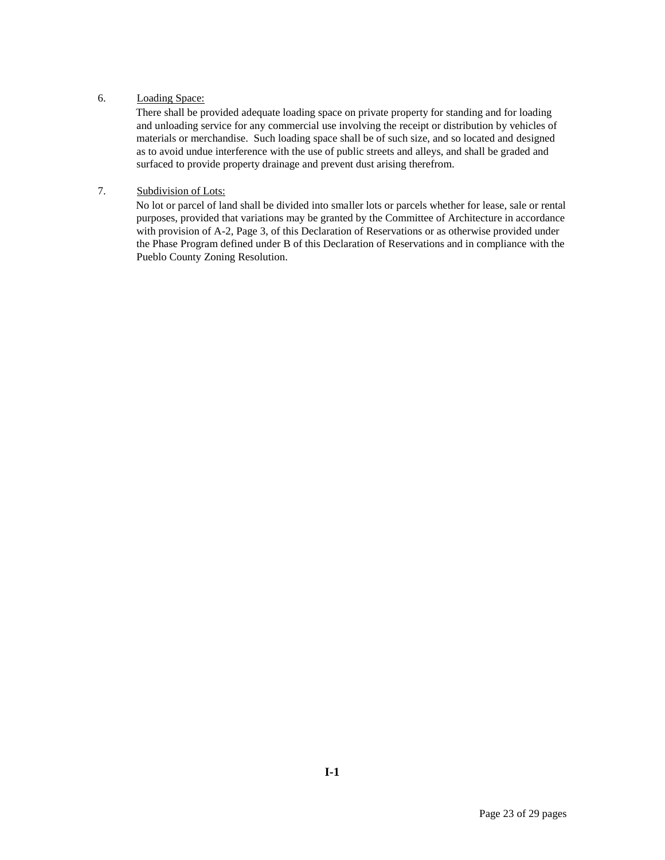### 6. Loading Space:

There shall be provided adequate loading space on private property for standing and for loading and unloading service for any commercial use involving the receipt or distribution by vehicles of materials or merchandise. Such loading space shall be of such size, and so located and designed as to avoid undue interference with the use of public streets and alleys, and shall be graded and surfaced to provide property drainage and prevent dust arising therefrom.

## 7. Subdivision of Lots: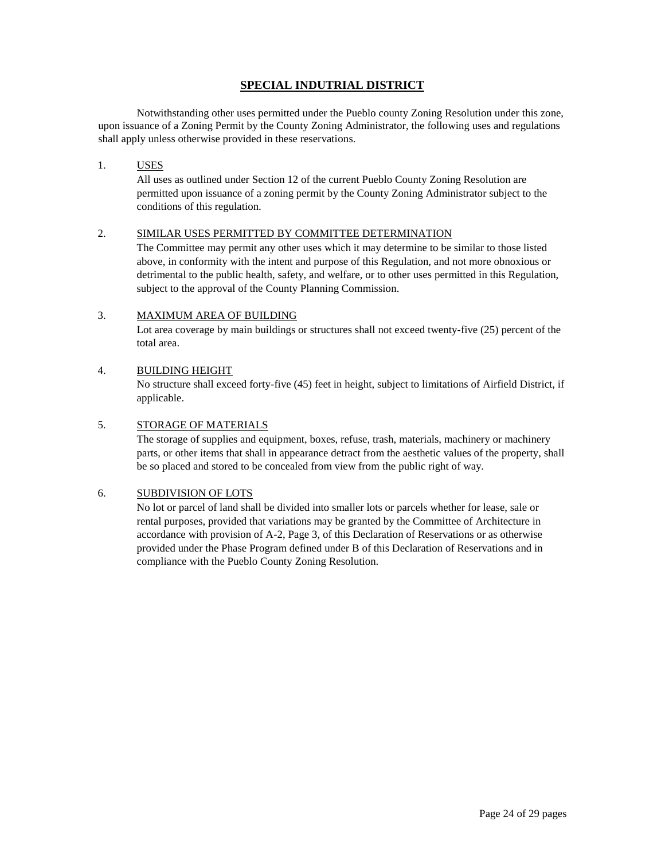## **SPECIAL INDUTRIAL DISTRICT**

Notwithstanding other uses permitted under the Pueblo county Zoning Resolution under this zone, upon issuance of a Zoning Permit by the County Zoning Administrator, the following uses and regulations shall apply unless otherwise provided in these reservations.

#### 1. USES

All uses as outlined under Section 12 of the current Pueblo County Zoning Resolution are permitted upon issuance of a zoning permit by the County Zoning Administrator subject to the conditions of this regulation.

### 2. SIMILAR USES PERMITTED BY COMMITTEE DETERMINATION

The Committee may permit any other uses which it may determine to be similar to those listed above, in conformity with the intent and purpose of this Regulation, and not more obnoxious or detrimental to the public health, safety, and welfare, or to other uses permitted in this Regulation, subject to the approval of the County Planning Commission.

### 3. MAXIMUM AREA OF BUILDING

Lot area coverage by main buildings or structures shall not exceed twenty-five (25) percent of the total area.

### 4. BUILDING HEIGHT

No structure shall exceed forty-five (45) feet in height, subject to limitations of Airfield District, if applicable.

### 5. STORAGE OF MATERIALS

The storage of supplies and equipment, boxes, refuse, trash, materials, machinery or machinery parts, or other items that shall in appearance detract from the aesthetic values of the property, shall be so placed and stored to be concealed from view from the public right of way.

#### 6. SUBDIVISION OF LOTS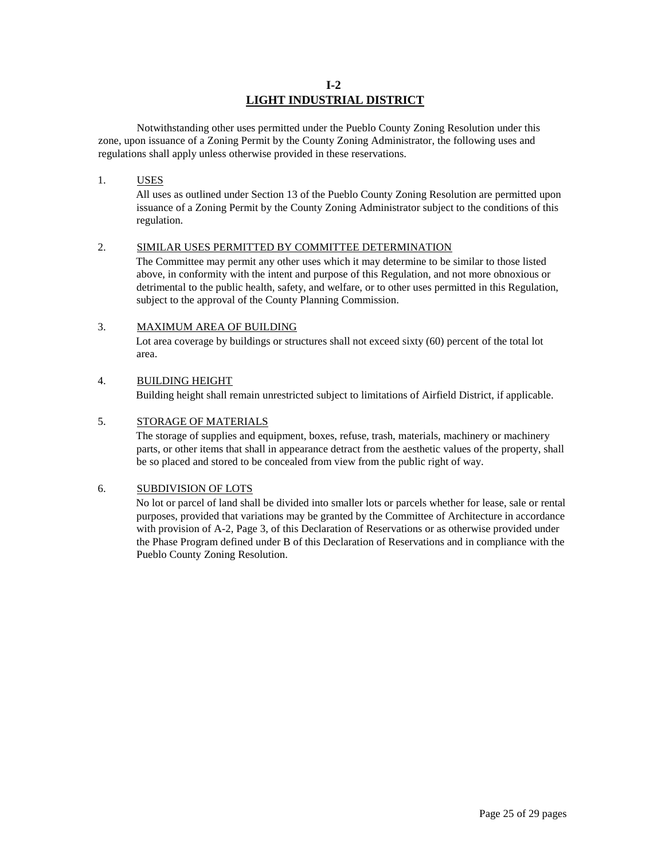### **I-2 LIGHT INDUSTRIAL DISTRICT**

Notwithstanding other uses permitted under the Pueblo County Zoning Resolution under this zone, upon issuance of a Zoning Permit by the County Zoning Administrator, the following uses and regulations shall apply unless otherwise provided in these reservations.

#### 1. USES

All uses as outlined under Section 13 of the Pueblo County Zoning Resolution are permitted upon issuance of a Zoning Permit by the County Zoning Administrator subject to the conditions of this regulation.

#### 2. SIMILAR USES PERMITTED BY COMMITTEE DETERMINATION

The Committee may permit any other uses which it may determine to be similar to those listed above, in conformity with the intent and purpose of this Regulation, and not more obnoxious or detrimental to the public health, safety, and welfare, or to other uses permitted in this Regulation, subject to the approval of the County Planning Commission.

#### 3. MAXIMUM AREA OF BUILDING

Lot area coverage by buildings or structures shall not exceed sixty (60) percent of the total lot area.

#### 4. BUILDING HEIGHT

Building height shall remain unrestricted subject to limitations of Airfield District, if applicable.

#### 5. STORAGE OF MATERIALS

The storage of supplies and equipment, boxes, refuse, trash, materials, machinery or machinery parts, or other items that shall in appearance detract from the aesthetic values of the property, shall be so placed and stored to be concealed from view from the public right of way.

#### 6. SUBDIVISION OF LOTS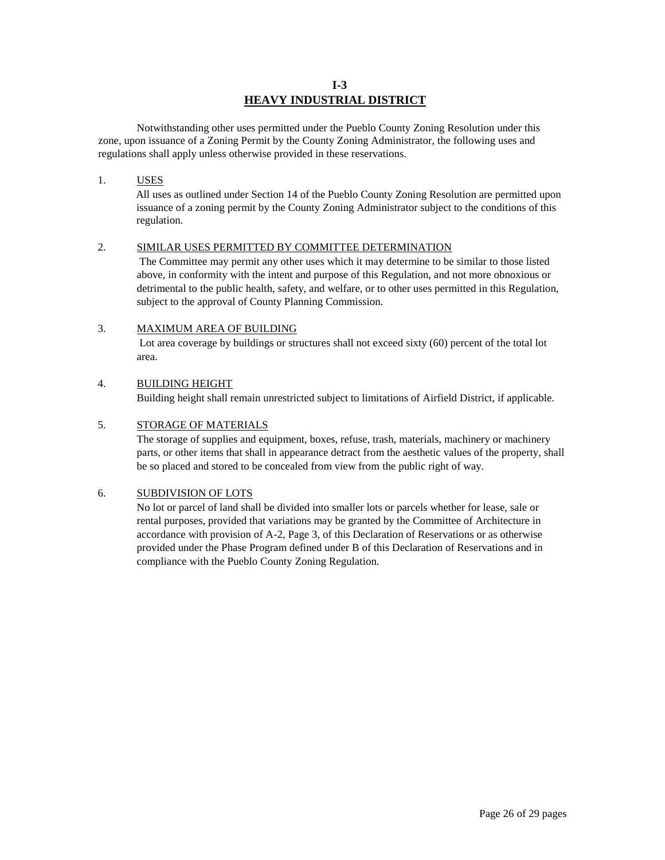## **I-3 HEAVY INDUSTRIAL DISTRICT**

Notwithstanding other uses permitted under the Pueblo County Zoning Resolution under this zone, upon issuance of a Zoning Permit by the County Zoning Administrator, the following uses and regulations shall apply unless otherwise provided in these reservations.

#### 1. USES

All uses as outlined under Section 14 of the Pueblo County Zoning Resolution are permitted upon issuance of a zoning permit by the County Zoning Administrator subject to the conditions of this regulation.

#### 2. SIMILAR USES PERMITTED BY COMMITTEE DETERMINATION

The Committee may permit any other uses which it may determine to be similar to those listed above, in conformity with the intent and purpose of this Regulation, and not more obnoxious or detrimental to the public health, safety, and welfare, or to other uses permitted in this Regulation, subject to the approval of County Planning Commission.

## 3. MAXIMUM AREA OF BUILDING

Lot area coverage by buildings or structures shall not exceed sixty (60) percent of the total lot area.

#### 4. BUILDING HEIGHT

Building height shall remain unrestricted subject to limitations of Airfield District, if applicable.

#### 5. STORAGE OF MATERIALS

The storage of supplies and equipment, boxes, refuse, trash, materials, machinery or machinery parts, or other items that shall in appearance detract from the aesthetic values of the property, shall be so placed and stored to be concealed from view from the public right of way.

#### 6. SUBDIVISION OF LOTS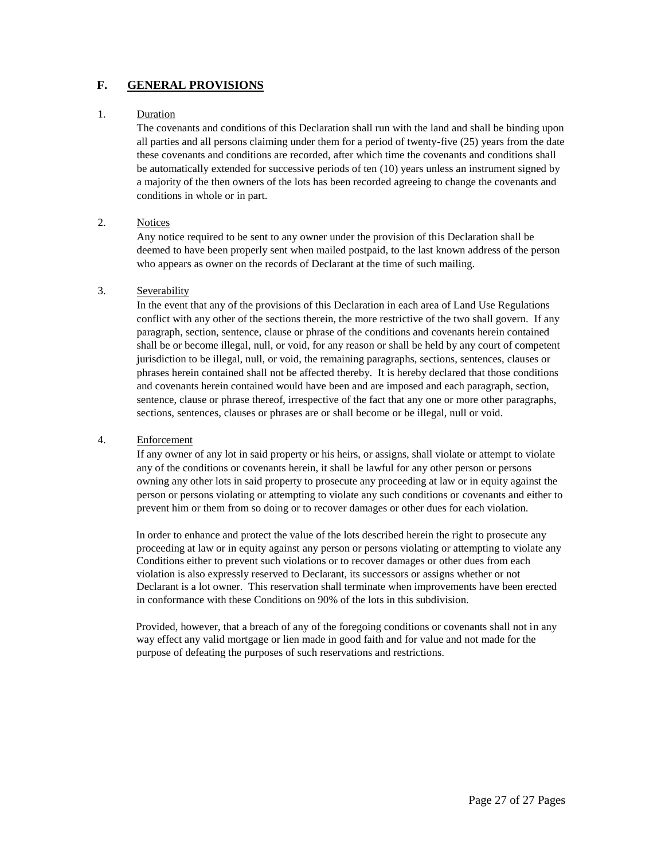## **F. GENERAL PROVISIONS**

#### 1. Duration

The covenants and conditions of this Declaration shall run with the land and shall be binding upon all parties and all persons claiming under them for a period of twenty-five (25) years from the date these covenants and conditions are recorded, after which time the covenants and conditions shall be automatically extended for successive periods of ten (10) years unless an instrument signed by a majority of the then owners of the lots has been recorded agreeing to change the covenants and conditions in whole or in part.

#### 2. Notices

Any notice required to be sent to any owner under the provision of this Declaration shall be deemed to have been properly sent when mailed postpaid, to the last known address of the person who appears as owner on the records of Declarant at the time of such mailing.

#### 3. Severability

In the event that any of the provisions of this Declaration in each area of Land Use Regulations conflict with any other of the sections therein, the more restrictive of the two shall govern. If any paragraph, section, sentence, clause or phrase of the conditions and covenants herein contained shall be or become illegal, null, or void, for any reason or shall be held by any court of competent jurisdiction to be illegal, null, or void, the remaining paragraphs, sections, sentences, clauses or phrases herein contained shall not be affected thereby. It is hereby declared that those conditions and covenants herein contained would have been and are imposed and each paragraph, section, sentence, clause or phrase thereof, irrespective of the fact that any one or more other paragraphs, sections, sentences, clauses or phrases are or shall become or be illegal, null or void.

#### 4. Enforcement

If any owner of any lot in said property or his heirs, or assigns, shall violate or attempt to violate any of the conditions or covenants herein, it shall be lawful for any other person or persons owning any other lots in said property to prosecute any proceeding at law or in equity against the person or persons violating or attempting to violate any such conditions or covenants and either to prevent him or them from so doing or to recover damages or other dues for each violation.

In order to enhance and protect the value of the lots described herein the right to prosecute any proceeding at law or in equity against any person or persons violating or attempting to violate any Conditions either to prevent such violations or to recover damages or other dues from each violation is also expressly reserved to Declarant, its successors or assigns whether or not Declarant is a lot owner. This reservation shall terminate when improvements have been erected in conformance with these Conditions on 90% of the lots in this subdivision.

Provided, however, that a breach of any of the foregoing conditions or covenants shall not in any way effect any valid mortgage or lien made in good faith and for value and not made for the purpose of defeating the purposes of such reservations and restrictions.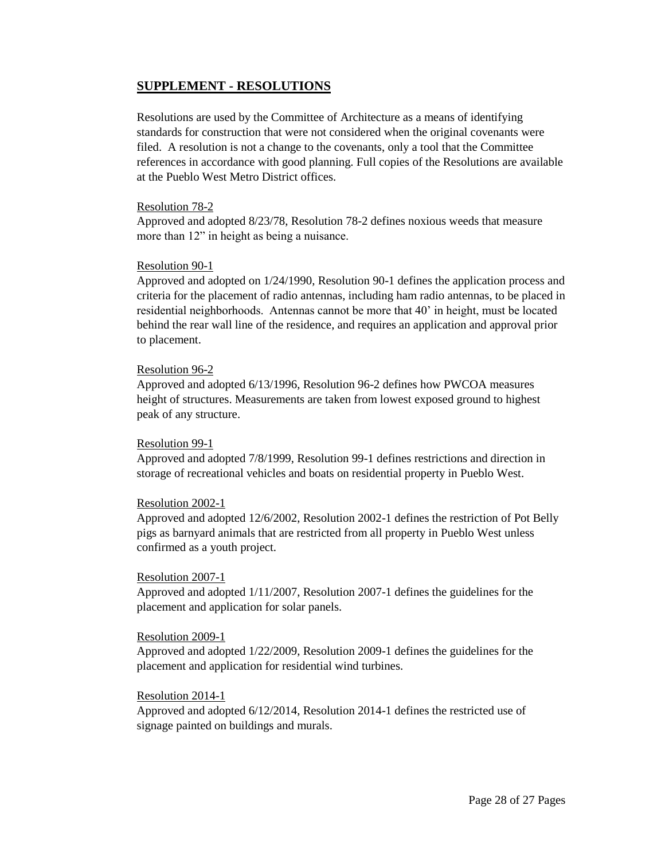# **SUPPLEMENT - RESOLUTIONS**

Resolutions are used by the Committee of Architecture as a means of identifying standards for construction that were not considered when the original covenants were filed. A resolution is not a change to the covenants, only a tool that the Committee references in accordance with good planning. Full copies of the Resolutions are available at the Pueblo West Metro District offices.

### Resolution 78-2

Approved and adopted 8/23/78, Resolution 78-2 defines noxious weeds that measure more than 12" in height as being a nuisance.

### Resolution 90-1

Approved and adopted on 1/24/1990, Resolution 90-1 defines the application process and criteria for the placement of radio antennas, including ham radio antennas, to be placed in residential neighborhoods. Antennas cannot be more that 40' in height, must be located behind the rear wall line of the residence, and requires an application and approval prior to placement.

### Resolution 96-2

Approved and adopted 6/13/1996, Resolution 96-2 defines how PWCOA measures height of structures. Measurements are taken from lowest exposed ground to highest peak of any structure.

#### Resolution 99-1

Approved and adopted 7/8/1999, Resolution 99-1 defines restrictions and direction in storage of recreational vehicles and boats on residential property in Pueblo West.

#### Resolution 2002-1

Approved and adopted 12/6/2002, Resolution 2002-1 defines the restriction of Pot Belly pigs as barnyard animals that are restricted from all property in Pueblo West unless confirmed as a youth project.

#### Resolution 2007-1

Approved and adopted 1/11/2007, Resolution 2007-1 defines the guidelines for the placement and application for solar panels.

#### Resolution 2009-1

Approved and adopted 1/22/2009, Resolution 2009-1 defines the guidelines for the placement and application for residential wind turbines.

## Resolution 2014-1

Approved and adopted 6/12/2014, Resolution 2014-1 defines the restricted use of signage painted on buildings and murals.